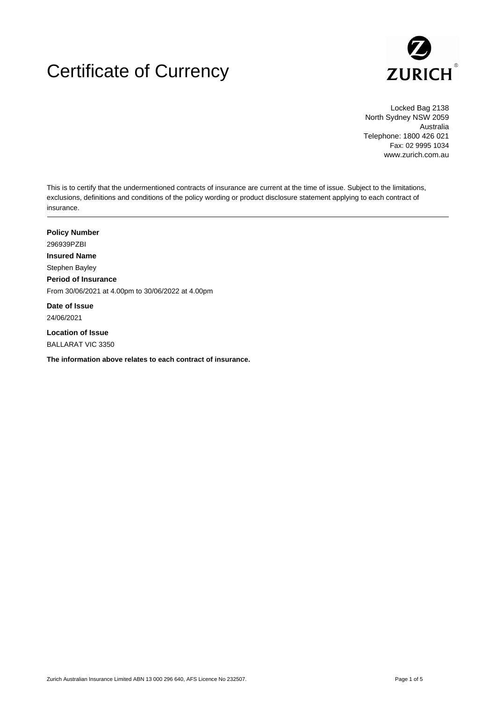# Certificate of Currency



Locked Bag 2138 North Sydney NSW 2059 Australia Telephone: 1800 426 021 Fax: 02 9995 1034 www.zurich.com.au

This is to certify that the undermentioned contracts of insurance are current at the time of issue. Subject to the limitations, exclusions, definitions and conditions of the policy wording or product disclosure statement applying to each contract of insurance.

**Policy Number** 296939PZBI **Insured Name** Stephen Bayley **Period of Insurance** From 30/06/2021 at 4.00pm to 30/06/2022 at 4.00pm **Date of Issue**

24/06/2021

**Location of Issue** BALLARAT VIC 3350

**The information above relates to each contract of insurance.**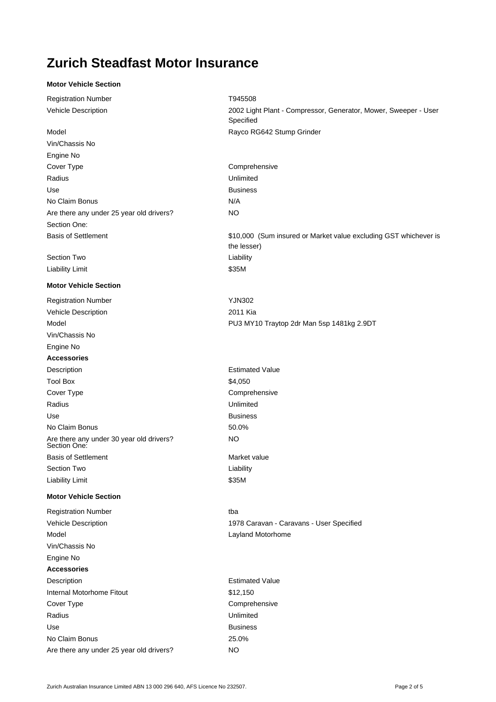## **Zurich Steadfast Motor Insurance**

#### **Motor Vehicle Section**

Registration Number **T945508** 

Vin/Chassis No Engine No Cover Type Comprehensive Radius **National Community Community** Property and *Unlimited* Use **Business** No Claim Bonus N/A Are there any under 25 year old drivers? NO Section One:

Section Two **Liability** Liability Limit **\$35M** 

#### **Motor Vehicle Section**

Registration Number **YJN302** Vehicle Description 2011 Kia Model Model PU3 MY10 Traytop 2dr Man 5sp 1481kg 2.9DT Vin/Chassis No Engine No **Accessories** Description **Estimated Value** Tool Box \$4,050 Cover Type Comprehensive Radius **National Community Community** Property and *Radius* Unlimited Use **Business** No Claim Bonus 60.0% Are there any under 30 year old drivers? NO Section One: **Basis of Settlement** Market value Section Two **Liability** Liability Limit **\$35M** 

#### **Motor Vehicle Section**

Registration Number tba Model **Layland Motorhome** Vin/Chassis No Engine No **Accessories** Description **Description Estimated Value** Internal Motorhome Fitout **\$12,150** Cover Type **Comprehensive** Comprehensive Radius **National Community Community** Property and *Unlimited* Use **Business** No Claim Bonus 25.0% Are there any under 25 year old drivers? NO

Vehicle Description 2002 Light Plant - Compressor, Generator, Mower, Sweeper - User Specified Model Model Rayco RG642 Stump Grinder

Basis of Settlement **1000** (Sum insured or Market value excluding GST whichever is the lesser)

Vehicle Description 1978 Caravan - Caravans - User Specified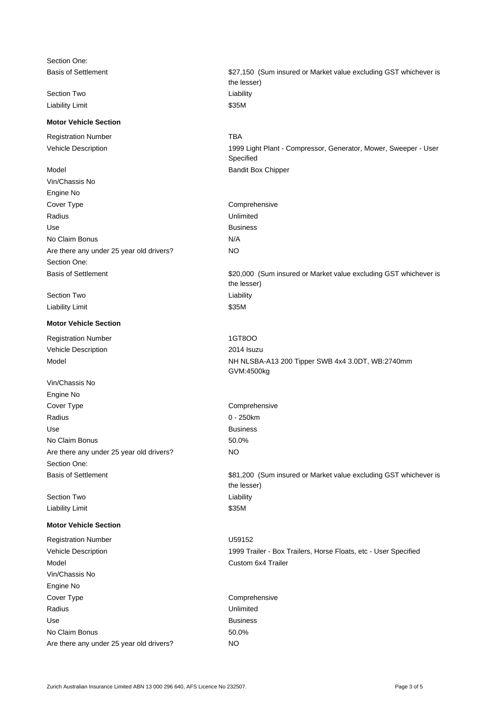Section One:

Liability Limit **\$35M** 

#### **Motor Vehicle Section**

Registration Number TBA

- 
- Vin/Chassis No Engine No Cover Type Comprehensive Radius **National Community Community** Property and *Radius* Unlimited Use **Business** No Claim Bonus N/A Are there any under 25 year old drivers? NO Section One:

Section Two **Liability** Liability Limit **\$35M** 

### **Motor Vehicle Section**

Registration Number 1GT8OO Vehicle Description 2014 Isuzu

Vin/Chassis No Engine No Cover Type **Comprehensive** Comprehensive Radius **0 - 250km** Use **Business** No Claim Bonus 50.0% Are there any under 25 year old drivers? Section One:

Liability Limit **\$35M** 

#### **Motor Vehicle Section**

Registration Number U59152 Model Custom 6x4 Trailer Vin/Chassis No Engine No Cover Type Comprehensive Radius Unlimited Use **Business** No Claim Bonus 60.0% Are there any under 25 year old drivers? NO

Basis of Settlement **628** (Sum insured or Market value excluding GST whichever is the lesser) Section Two **Liability** Vehicle Description 1999 Light Plant - Compressor, Generator, Mower, Sweeper - User Specified Model Box Chipper Basis of Settlement **620,000** (Sum insured or Market value excluding GST whichever is the lesser) Model Model NH NLSBA-A13 200 Tipper SWB 4x4 3.0DT, WB:2740mm GVM:4500kg Basis of Settlement **681,200** (Sum insured or Market value excluding GST whichever is the lesser) Section Two **Liability** Vehicle Description 1999 Trailer - Box Trailers, Horse Floats, etc - User Specified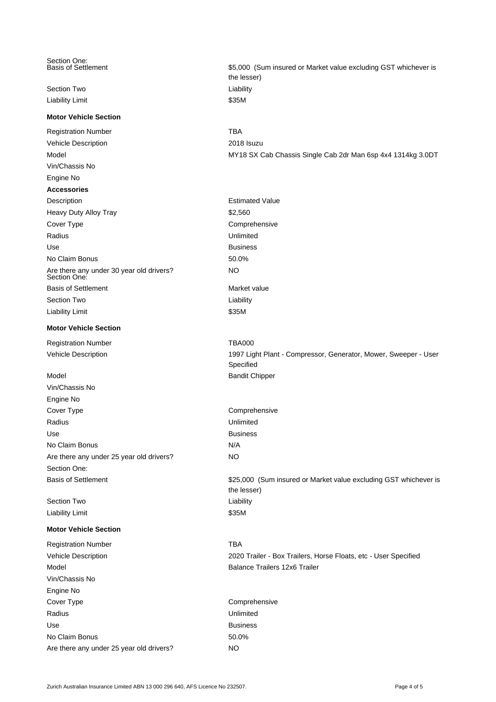Section One:<br>Basis of Settlement

Liability Limit **\$35M** 

#### **Motor Vehicle Section**

Registration Number TBA Vehicle Description 2018 Isuzu Vin/Chassis No Engine No **Accessories** Description **Estimated Value** Heavy Duty Alloy Tray **\$2,560** Cover Type Comprehensive Radius **National Community Community** Property and *Unlimited* Use **Business** No Claim Bonus 50.0% Are there any under 30 year old drivers? NO Section One: **Basis of Settlement** Market value Section Two **Liability** Liability Limit **S35M** 

### **Motor Vehicle Section**

Registration Number TBA000

Vin/Chassis No Engine No Cover Type Comprehensive Radius **National Community Community** Property and *Unlimited* Use **Business** No Claim Bonus N/A Are there any under 25 year old drivers? NO Section One:

Section Two **Liability** Liability Limit \$35M

#### **Motor Vehicle Section**

Registration Number TBA Model **Model Balance Trailers 12x6 Trailers** Vin/Chassis No Engine No Cover Type Comprehensive Radius **National Community Community** Property and *Unlimited* Use **Business** No Claim Bonus 60.0% Are there any under 25 year old drivers? NO

\$5,000 (Sum insured or Market value excluding GST whichever is the lesser) Section Two **Liability Liability** Model MY18 SX Cab Chassis Single Cab 2dr Man 6sp 4x4 1314kg 3.0DT Vehicle Description 1997 Light Plant - Compressor, Generator, Mower, Sweeper - User Specified Model **Bandit Chipper** Basis of Settlement **1988** (Sum insured or Market value excluding GST whichever is the lesser) Vehicle Description 2020 Trailer - Box Trailers, Horse Floats, etc - User Specified